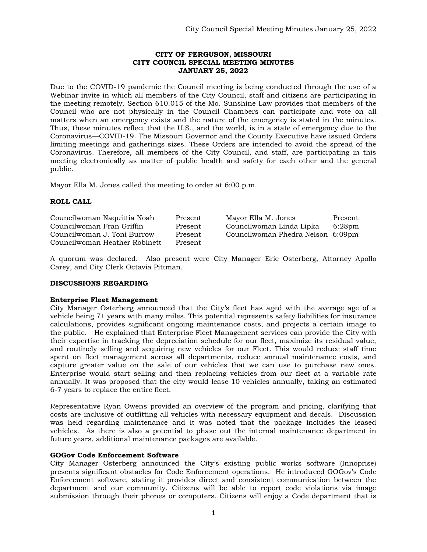## **CITY OF FERGUSON, MISSOURI CITY COUNCIL SPECIAL MEETING MINUTES JANUARY 25, 2022**

Due to the COVID-19 pandemic the Council meeting is being conducted through the use of a Webinar invite in which all members of the City Council, staff and citizens are participating in the meeting remotely. Section 610.015 of the Mo. Sunshine Law provides that members of the Council who are not physically in the Council Chambers can participate and vote on all matters when an emergency exists and the nature of the emergency is stated in the minutes. Thus, these minutes reflect that the U.S., and the world, is in a state of emergency due to the Coronavirus—COVID-19. The Missouri Governor and the County Executive have issued Orders limiting meetings and gatherings sizes. These Orders are intended to avoid the spread of the Coronavirus. Therefore, all members of the City Council, and staff, are participating in this meeting electronically as matter of public health and safety for each other and the general public.

Mayor Ella M. Jones called the meeting to order at 6:00 p.m.

# **ROLL CALL**

| Councilwoman Naquittia Noah   | Present | Mayor Ella M. Jones               | Present |
|-------------------------------|---------|-----------------------------------|---------|
| Councilwoman Fran Griffin     | Present | Councilwoman Linda Lipka          | 6:28pm  |
| Councilwoman J. Toni Burrow   | Present | Councilwoman Phedra Nelson 6:09pm |         |
| Councilwoman Heather Robinett | Present |                                   |         |

A quorum was declared. Also present were City Manager Eric Osterberg, Attorney Apollo Carey, and City Clerk Octavia Pittman.

# **DISCUSSIONS REGARDING**

#### **Enterprise Fleet Management**

City Manager Osterberg announced that the City's fleet has aged with the average age of a vehicle being 7+ years with many miles. This potential represents safety liabilities for insurance calculations, provides significant ongoing maintenance costs, and projects a certain image to the public. He explained that Enterprise Fleet Management services can provide the City with their expertise in tracking the depreciation schedule for our fleet, maximize its residual value, and routinely selling and acquiring new vehicles for our Fleet. This would reduce staff time spent on fleet management across all departments, reduce annual maintenance costs, and capture greater value on the sale of our vehicles that we can use to purchase new ones. Enterprise would start selling and then replacing vehicles from our fleet at a variable rate annually. It was proposed that the city would lease 10 vehicles annually, taking an estimated 6-7 years to replace the entire fleet.

Representative Ryan Owens provided an overview of the program and pricing, clarifying that costs are inclusive of outfitting all vehicles with necessary equipment and decals. Discussion was held regarding maintenance and it was noted that the package includes the leased vehicles. As there is also a potential to phase out the internal maintenance department in future years, additional maintenance packages are available.

#### **GOGov Code Enforcement Software**

City Manager Osterberg announced the City's existing public works software (Innoprise) presents significant obstacles for Code Enforcement operations. He introduced GOGov's Code Enforcement software, stating it provides direct and consistent communication between the department and our community. Citizens will be able to report code violations via image submission through their phones or computers. Citizens will enjoy a Code department that is